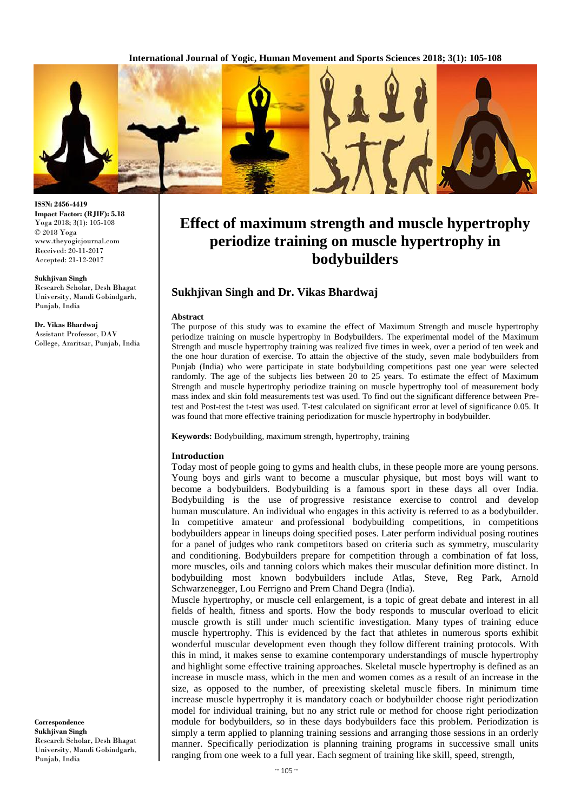**International Journal of Yogic, Human Movement and Sports Sciences 2018; 3(1): 105-108**



**ISSN: 2456-4419 Impact Factor: (RJIF): 5.18** Yoga 2018; 3(1): 105-108 © 2018 Yoga www.theyogicjournal.com Received: 20-11-2017 Accepted: 21-12-2017

**Sukhjivan Singh**  Research Scholar, Desh Bhagat University, Mandi Gobindgarh, Punjab, India

**Dr. Vikas Bhardwaj** Assistant Professor, DAV College, Amritsar, Punjab, India

**Correspondence Sukhjivan Singh**  Research Scholar, Desh Bhagat University, Mandi Gobindgarh, Punjab, India

# **Effect of maximum strength and muscle hypertrophy periodize training on muscle hypertrophy in bodybuilders**

## **Sukhjivan Singh and Dr. Vikas Bhardwaj**

### **Abstract**

The purpose of this study was to examine the effect of Maximum Strength and muscle hypertrophy periodize training on muscle hypertrophy in Bodybuilders. The experimental model of the Maximum Strength and muscle hypertrophy training was realized five times in week, over a period of ten week and the one hour duration of exercise. To attain the objective of the study, seven male bodybuilders from Punjab (India) who were participate in state bodybuilding competitions past one year were selected randomly. The age of the subjects lies between 20 to 25 years. To estimate the effect of Maximum Strength and muscle hypertrophy periodize training on muscle hypertrophy tool of measurement body mass index and skin fold measurements test was used. To find out the significant difference between Pretest and Post-test the t-test was used. T-test calculated on significant error at level of significance 0.05. It was found that more effective training periodization for muscle hypertrophy in bodybuilder.

**Keywords:** Bodybuilding, maximum strength, hypertrophy, training

### **Introduction**

Today most of people going to gyms and health clubs, in these people more are young persons. Young boys and girls want to become a muscular physique, but most boys will want to become a bodybuilders. Bodybuilding is a famous sport in these days all over India. Bodybuilding is the use of progressive resistance exercise to control and develop human musculature. An individual who engages in this activity is referred to as a bodybuilder. In competitive amateur and professional bodybuilding competitions, in competitions bodybuilders appear in lineups doing specified poses. Later perform individual posing routines for a panel of judges who rank competitors based on criteria such as symmetry, muscularity and conditioning. Bodybuilders prepare for competition through a combination of fat loss, more muscles, oils and tanning colors which makes their muscular definition more distinct. In bodybuilding most known bodybuilders include Atlas, Steve, Reg Park, Arnold Schwarzenegger, Lou Ferrigno and Prem Chand Degra (India).

Muscle hypertrophy, or muscle cell enlargement, is a topic of great debate and interest in all fields of health, fitness and sports. How the body responds to muscular overload to elicit muscle growth is still under much scientific investigation. Many types of training educe muscle hypertrophy. This is evidenced by the fact that athletes in numerous sports exhibit wonderful muscular development even though they follow different training protocols. With this in mind, it makes sense to examine contemporary understandings of muscle hypertrophy and highlight some effective training approaches. Skeletal muscle hypertrophy is defined as an increase in muscle mass, which in the men and women comes as a result of an increase in the size, as opposed to the number, of preexisting skeletal muscle fibers. In minimum time increase muscle hypertrophy it is mandatory coach or bodybuilder choose right periodization model for individual training, but no any strict rule or method for choose right periodization module for bodybuilders, so in these days bodybuilders face this problem. Periodization is simply a term applied to planning training sessions and arranging those sessions in an orderly manner. Specifically periodization is planning training programs in successive small units ranging from one week to a full year. Each segment of training like skill, speed, strength,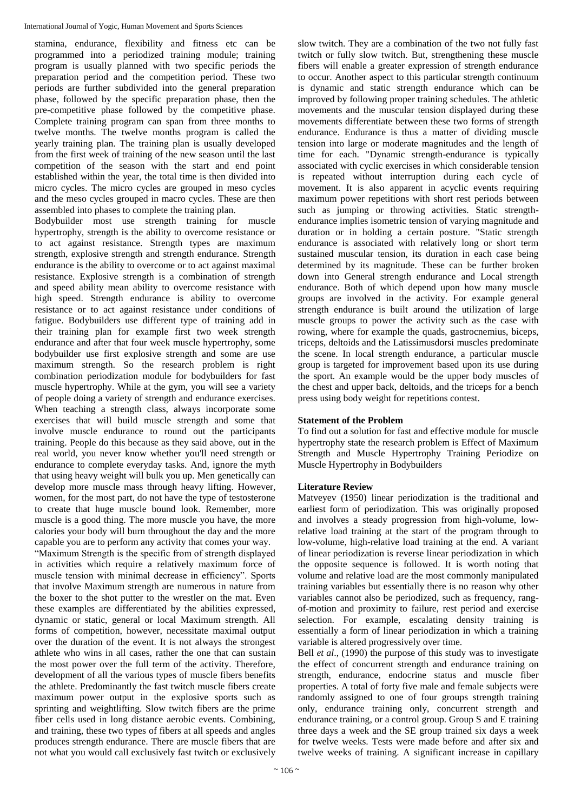stamina, endurance, flexibility and fitness etc can be programmed into a periodized training module; training program is usually planned with two specific periods the preparation period and the competition period. These two periods are further subdivided into the general preparation phase, followed by the specific preparation phase, then the pre-competitive phase followed by the competitive phase. Complete training program can span from three months to twelve months. The twelve months program is called the yearly training plan. The training plan is usually developed from the first week of training of the new season until the last competition of the season with the start and end point established within the year, the total time is then divided into micro cycles. The micro cycles are grouped in meso cycles and the meso cycles grouped in macro cycles. These are then assembled into phases to complete the training plan.

Bodybuilder most use strength training for muscle hypertrophy, strength is the ability to overcome resistance or to act against resistance. Strength types are maximum strength, explosive strength and strength endurance. Strength endurance is the ability to overcome or to act against maximal resistance. Explosive strength is a combination of strength and speed ability mean ability to overcome resistance with high speed. Strength endurance is ability to overcome resistance or to act against resistance under conditions of fatigue. Bodybuilders use different type of training add in their training plan for example first two week strength endurance and after that four week muscle hypertrophy, some bodybuilder use first explosive strength and some are use maximum strength. So the research problem is right combination periodization module for bodybuilders for fast muscle hypertrophy. While at the gym, you will see a variety of people doing a variety of strength and endurance exercises. When teaching a strength class, always incorporate some exercises that will build muscle strength and some that involve muscle endurance to round out the participants training. People do this because as they said above, out in the real world, you never know whether you'll need strength or endurance to complete everyday tasks. And, ignore the myth that using heavy weight will bulk you up. Men genetically can develop more muscle mass through heavy lifting. However, women, for the most part, do not have the type of testosterone to create that huge muscle bound look. Remember, more muscle is a good thing. The more muscle you have, the more calories your body will burn throughout the day and the more capable you are to perform any activity that comes your way.

"Maximum Strength is the specific from of strength displayed in activities which require a relatively maximum force of muscle tension with minimal decrease in efficiency". Sports that involve Maximum strength are numerous in nature from the boxer to the shot putter to the wrestler on the mat. Even these examples are differentiated by the abilities expressed, dynamic or static, general or local Maximum strength. All forms of competition, however, necessitate maximal output over the duration of the event. It is not always the strongest athlete who wins in all cases, rather the one that can sustain the most power over the full term of the activity. Therefore, development of all the various types of muscle fibers benefits the athlete. Predominantly the fast twitch muscle fibers create maximum power output in the explosive sports such as sprinting and weightlifting. Slow twitch fibers are the prime fiber cells used in long distance aerobic events. Combining, and training, these two types of fibers at all speeds and angles produces strength endurance. There are muscle fibers that are not what you would call exclusively fast twitch or exclusively

slow twitch. They are a combination of the two not fully fast twitch or fully slow twitch. But, strengthening these muscle fibers will enable a greater expression of strength endurance to occur. Another aspect to this particular strength continuum is dynamic and static strength endurance which can be improved by following proper training schedules. The athletic movements and the muscular tension displayed during these movements differentiate between these two forms of strength endurance. Endurance is thus a matter of dividing muscle tension into large or moderate magnitudes and the length of time for each. "Dynamic strength-endurance is typically associated with cyclic exercises in which considerable tension is repeated without interruption during each cycle of movement. It is also apparent in acyclic events requiring maximum power repetitions with short rest periods between such as jumping or throwing activities. Static strengthendurance implies isometric tension of varying magnitude and duration or in holding a certain posture. "Static strength endurance is associated with relatively long or short term sustained muscular tension, its duration in each case being determined by its magnitude. These can be further broken down into General strength endurance and Local strength endurance. Both of which depend upon how many muscle groups are involved in the activity. For example general strength endurance is built around the utilization of large muscle groups to power the activity such as the case with rowing, where for example the quads, gastrocnemius, biceps, triceps, deltoids and the Latissimusdorsi muscles predominate the scene. In local strength endurance, a particular muscle group is targeted for improvement based upon its use during the sport. An example would be the upper body muscles of the chest and upper back, deltoids, and the triceps for a bench press using body weight for repetitions contest.

# **Statement of the Problem**

To find out a solution for fast and effective module for muscle hypertrophy state the research problem is Effect of Maximum Strength and Muscle Hypertrophy Training Periodize on Muscle Hypertrophy in Bodybuilders

# **Literature Review**

Matveyev (1950) linear periodization is the traditional and earliest form of periodization. This was originally proposed and involves a steady progression from high-volume, lowrelative load training at the start of the program through to low-volume, high-relative load training at the end. A variant of linear periodization is reverse linear periodization in which the opposite sequence is followed. It is worth noting that volume and relative load are the most commonly manipulated training variables but essentially there is no reason why other variables cannot also be periodized, such as frequency, rangof-motion and proximity to failure, rest period and exercise selection. For example, escalating density training is essentially a form of linear periodization in which a training variable is altered progressively over time.

Bell *et al*., (1990) the purpose of this study was to investigate the effect of concurrent strength and endurance training on strength, endurance, endocrine status and muscle fiber properties. A total of forty five male and female subjects were randomly assigned to one of four groups strength training only, endurance training only, concurrent strength and endurance training, or a control group. Group S and E training three days a week and the SE group trained six days a week for twelve weeks. Tests were made before and after six and twelve weeks of training. A significant increase in capillary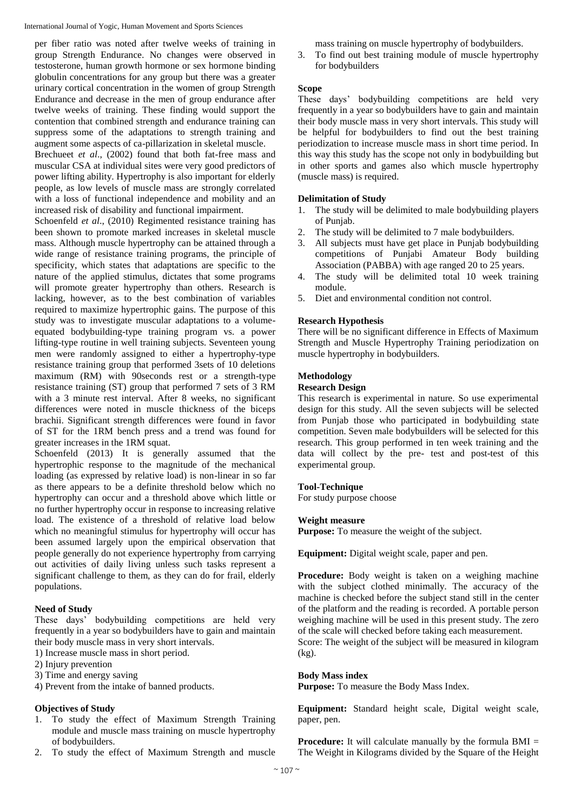International Journal of Yogic, Human Movement and Sports Sciences

per fiber ratio was noted after twelve weeks of training in group Strength Endurance. No changes were observed in testosterone, human growth hormone or sex hormone binding globulin concentrations for any group but there was a greater urinary cortical concentration in the women of group Strength Endurance and decrease in the men of group endurance after twelve weeks of training. These finding would support the contention that combined strength and endurance training can suppress some of the adaptations to strength training and augment some aspects of ca-pillarization in skeletal muscle.

Brechueet *et al*., (2002) found that both fat-free mass and muscular CSA at individual sites were very good predictors of power lifting ability. Hypertrophy is also important for elderly people, as low levels of muscle mass are strongly correlated with a loss of functional independence and mobility and an increased risk of disability and functional impairment.

Schoenfeld *et al.*, (2010) Regimented resistance training has been shown to promote marked increases in skeletal muscle mass. Although muscle hypertrophy can be attained through a wide range of resistance training programs, the principle of specificity, which states that adaptations are specific to the nature of the applied stimulus, dictates that some programs will promote greater hypertrophy than others. Research is lacking, however, as to the best combination of variables required to maximize hypertrophic gains. The purpose of this study was to investigate muscular adaptations to a volumeequated bodybuilding-type training program vs. a power lifting-type routine in well training subjects. Seventeen young men were randomly assigned to either a hypertrophy-type resistance training group that performed 3sets of 10 deletions maximum (RM) with 90seconds rest or a strength-type resistance training (ST) group that performed 7 sets of 3 RM with a 3 minute rest interval. After 8 weeks, no significant differences were noted in muscle thickness of the biceps brachii. Significant strength differences were found in favor of ST for the 1RM bench press and a trend was found for greater increases in the 1RM squat.

Schoenfeld (2013) It is generally assumed that the hypertrophic response to the magnitude of the mechanical loading (as expressed by relative load) is non-linear in so far as there appears to be a definite threshold below which no hypertrophy can occur and a threshold above which little or no further hypertrophy occur in response to increasing relative load. The existence of a threshold of relative load below which no meaningful stimulus for hypertrophy will occur has been assumed largely upon the empirical observation that people generally do not experience hypertrophy from carrying out activities of daily living unless such tasks represent a significant challenge to them, as they can do for frail, elderly populations.

## **Need of Study**

These days' bodybuilding competitions are held very frequently in a year so bodybuilders have to gain and maintain their body muscle mass in very short intervals.

1) Increase muscle mass in short period.

- 2) Injury prevention
- 3) Time and energy saving

4) Prevent from the intake of banned products.

## **Objectives of Study**

- 1. To study the effect of Maximum Strength Training module and muscle mass training on muscle hypertrophy of bodybuilders.
- 2. To study the effect of Maximum Strength and muscle

mass training on muscle hypertrophy of bodybuilders.

3. To find out best training module of muscle hypertrophy for bodybuilders

## **Scope**

These days' bodybuilding competitions are held very frequently in a year so bodybuilders have to gain and maintain their body muscle mass in very short intervals. This study will be helpful for bodybuilders to find out the best training periodization to increase muscle mass in short time period. In this way this study has the scope not only in bodybuilding but in other sports and games also which muscle hypertrophy (muscle mass) is required.

# **Delimitation of Study**

- 1. The study will be delimited to male bodybuilding players of Punjab.
- 2. The study will be delimited to 7 male bodybuilders.
- 3. All subjects must have get place in Punjab bodybuilding competitions of Punjabi Amateur Body building Association (PABBA) with age ranged 20 to 25 years.
- 4. The study will be delimited total 10 week training module.
- 5. Diet and environmental condition not control.

# **Research Hypothesis**

There will be no significant difference in Effects of Maximum Strength and Muscle Hypertrophy Training periodization on muscle hypertrophy in bodybuilders.

## **Methodology**

## **Research Design**

This research is experimental in nature. So use experimental design for this study. All the seven subjects will be selected from Punjab those who participated in bodybuilding state competition. Seven male bodybuilders will be selected for this research. This group performed in ten week training and the data will collect by the pre- test and post-test of this experimental group.

## **Tool-Technique**

For study purpose choose

## **Weight measure**

**Purpose:** To measure the weight of the subject.

**Equipment:** Digital weight scale, paper and pen.

**Procedure:** Body weight is taken on a weighing machine with the subject clothed minimally. The accuracy of the machine is checked before the subject stand still in the center of the platform and the reading is recorded. A portable person weighing machine will be used in this present study. The zero of the scale will checked before taking each measurement.

Score: The weight of the subject will be measured in kilogram (kg).

## **Body Mass index**

**Purpose:** To measure the Body Mass Index.

**Equipment:** Standard height scale, Digital weight scale, paper, pen.

**Procedure:** It will calculate manually by the formula BMI = The Weight in Kilograms divided by the Square of the Height